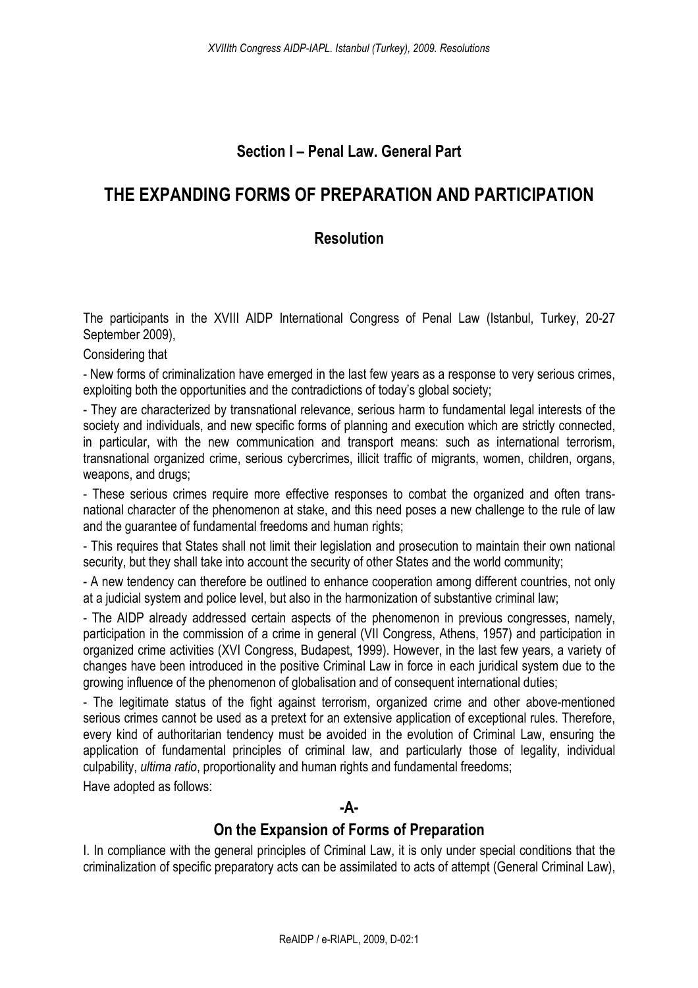## **Section I – Penal Law. General Part**

# **THE EXPANDING FORMS OF PREPARATION AND PARTICIPATION**

#### **Resolution**

The participants in the XVIII AIDP International Congress of Penal Law (Istanbul, Turkey, 20-27 September 2009),

Considering that

- New forms of criminalization have emerged in the last few years as a response to very serious crimes, exploiting both the opportunities and the contradictions of today's global society;

- They are characterized by transnational relevance, serious harm to fundamental legal interests of the society and individuals, and new specific forms of planning and execution which are strictly connected, in particular, with the new communication and transport means: such as international terrorism, transnational organized crime, serious cybercrimes, illicit traffic of migrants, women, children, organs, weapons, and drugs;

- These serious crimes require more effective responses to combat the organized and often transnational character of the phenomenon at stake, and this need poses a new challenge to the rule of law and the guarantee of fundamental freedoms and human rights;

- This requires that States shall not limit their legislation and prosecution to maintain their own national security, but they shall take into account the security of other States and the world community;

- A new tendency can therefore be outlined to enhance cooperation among different countries, not only at a judicial system and police level, but also in the harmonization of substantive criminal law;

- The AIDP already addressed certain aspects of the phenomenon in previous congresses, namely, participation in the commission of a crime in general (VII Congress, Athens, 1957) and participation in organized crime activities (XVI Congress, Budapest, 1999). However, in the last few years, a variety of changes have been introduced in the positive Criminal Law in force in each juridical system due to the growing influence of the phenomenon of globalisation and of consequent international duties;

- The legitimate status of the fight against terrorism, organized crime and other above-mentioned serious crimes cannot be used as a pretext for an extensive application of exceptional rules. Therefore, every kind of authoritarian tendency must be avoided in the evolution of Criminal Law, ensuring the application of fundamental principles of criminal law, and particularly those of legality, individual culpability, *ultima ratio*, proportionality and human rights and fundamental freedoms; Have adopted as follows:

#### **-A-**

#### **On the Expansion of Forms of Preparation**

I. In compliance with the general principles of Criminal Law, it is only under special conditions that the criminalization of specific preparatory acts can be assimilated to acts of attempt (General Criminal Law),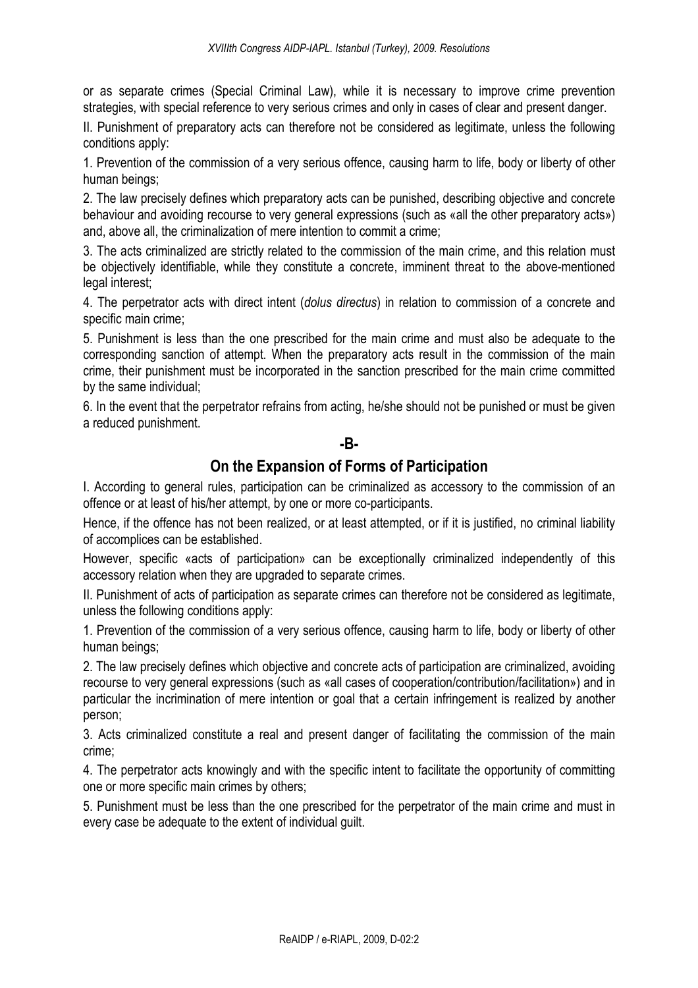or as separate crimes (Special Criminal Law), while it is necessary to improve crime prevention strategies, with special reference to very serious crimes and only in cases of clear and present danger.

II. Punishment of preparatory acts can therefore not be considered as legitimate, unless the following conditions apply:

1. Prevention of the commission of a very serious offence, causing harm to life, body or liberty of other human beings;

2. The law precisely defines which preparatory acts can be punished, describing objective and concrete behaviour and avoiding recourse to very general expressions (such as «all the other preparatory acts») and, above all, the criminalization of mere intention to commit a crime;

3. The acts criminalized are strictly related to the commission of the main crime, and this relation must be objectively identifiable, while they constitute a concrete, imminent threat to the above-mentioned legal interest;

4. The perpetrator acts with direct intent (*dolus directus*) in relation to commission of a concrete and specific main crime;

5. Punishment is less than the one prescribed for the main crime and must also be adequate to the corresponding sanction of attempt. When the preparatory acts result in the commission of the main crime, their punishment must be incorporated in the sanction prescribed for the main crime committed by the same individual;

6. In the event that the perpetrator refrains from acting, he/she should not be punished or must be given a reduced punishment.

#### **-B-**

# **On the Expansion of Forms of Participation**

I. According to general rules, participation can be criminalized as accessory to the commission of an offence or at least of his/her attempt, by one or more co-participants.

Hence, if the offence has not been realized, or at least attempted, or if it is justified, no criminal liability of accomplices can be established.

However, specific «acts of participation» can be exceptionally criminalized independently of this accessory relation when they are upgraded to separate crimes.

II. Punishment of acts of participation as separate crimes can therefore not be considered as legitimate, unless the following conditions apply:

1. Prevention of the commission of a very serious offence, causing harm to life, body or liberty of other human beings;

2. The law precisely defines which objective and concrete acts of participation are criminalized, avoiding recourse to very general expressions (such as «all cases of cooperation/contribution/facilitation») and in particular the incrimination of mere intention or goal that a certain infringement is realized by another person;

3. Acts criminalized constitute a real and present danger of facilitating the commission of the main crime;

4. The perpetrator acts knowingly and with the specific intent to facilitate the opportunity of committing one or more specific main crimes by others;

5. Punishment must be less than the one prescribed for the perpetrator of the main crime and must in every case be adequate to the extent of individual guilt.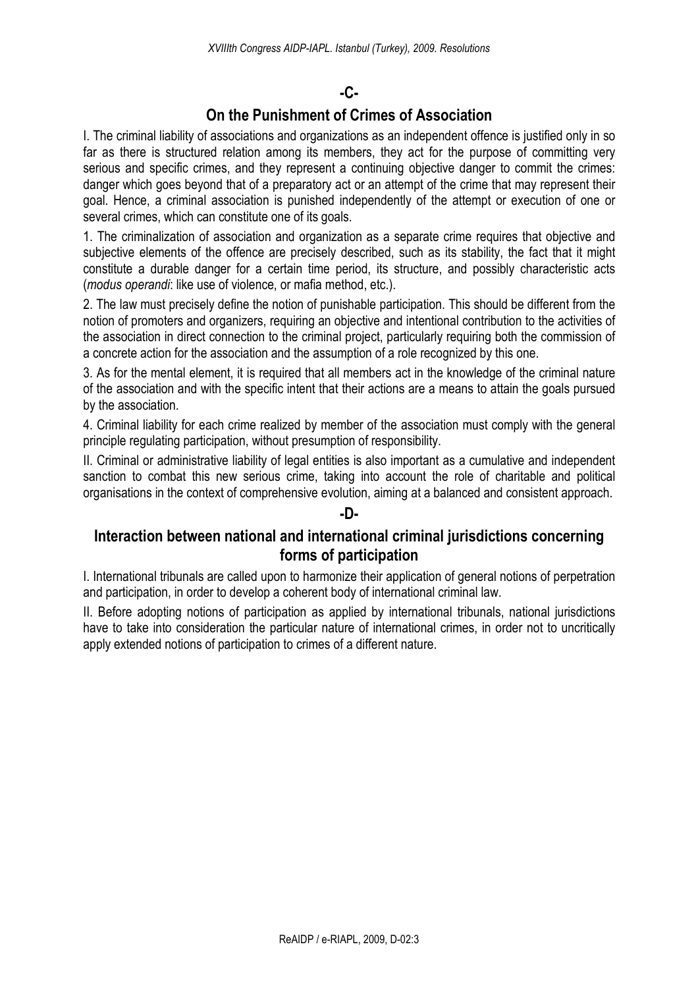#### **-C-**

# **On the Punishment of Crimes of Association**

I. The criminal liability of associations and organizations as an independent offence is justified only in so far as there is structured relation among its members, they act for the purpose of committing very serious and specific crimes, and they represent a continuing objective danger to commit the crimes: danger which goes beyond that of a preparatory act or an attempt of the crime that may represent their goal. Hence, a criminal association is punished independently of the attempt or execution of one or several crimes, which can constitute one of its goals.

1. The criminalization of association and organization as a separate crime requires that objective and subjective elements of the offence are precisely described, such as its stability, the fact that it might constitute a durable danger for a certain time period, its structure, and possibly characteristic acts (*modus operandi*: like use of violence, or mafia method, etc.).

2. The law must precisely define the notion of punishable participation. This should be different from the notion of promoters and organizers, requiring an objective and intentional contribution to the activities of the association in direct connection to the criminal project, particularly requiring both the commission of a concrete action for the association and the assumption of a role recognized by this one.

3. As for the mental element, it is required that all members act in the knowledge of the criminal nature of the association and with the specific intent that their actions are a means to attain the goals pursued by the association.

4. Criminal liability for each crime realized by member of the association must comply with the general principle regulating participation, without presumption of responsibility.

II. Criminal or administrative liability of legal entities is also important as a cumulative and independent sanction to combat this new serious crime, taking into account the role of charitable and political organisations in the context of comprehensive evolution, aiming at a balanced and consistent approach.

#### **-D-**

### **Interaction between national and international criminal jurisdictions concerning forms of participation**

I. International tribunals are called upon to harmonize their application of general notions of perpetration and participation, in order to develop a coherent body of international criminal law.

II. Before adopting notions of participation as applied by international tribunals, national jurisdictions have to take into consideration the particular nature of international crimes, in order not to uncritically apply extended notions of participation to crimes of a different nature.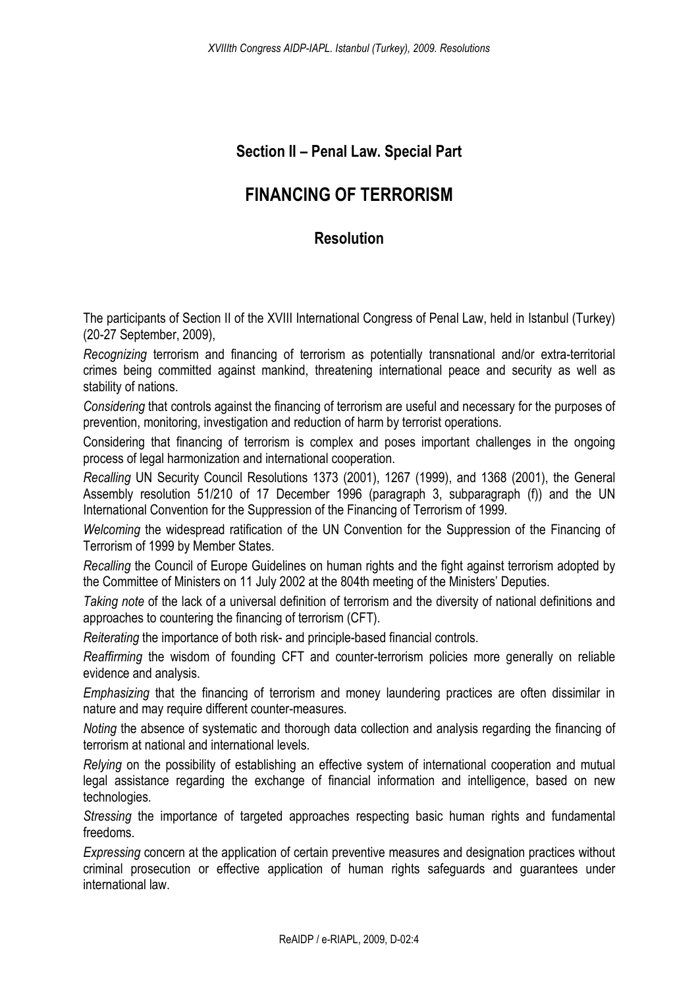# **Section II – Penal Law. Special Part**

# **FINANCING OF TERRORISM**

# **Resolution**

The participants of Section II of the XVIII International Congress of Penal Law, held in Istanbul (Turkey) (20-27 September, 2009),

*Recognizing* terrorism and financing of terrorism as potentially transnational and/or extra-territorial crimes being committed against mankind, threatening international peace and security as well as stability of nations.

*Considering* that controls against the financing of terrorism are useful and necessary for the purposes of prevention, monitoring, investigation and reduction of harm by terrorist operations.

Considering that financing of terrorism is complex and poses important challenges in the ongoing process of legal harmonization and international cooperation.

*Recalling* UN Security Council Resolutions 1373 (2001), 1267 (1999), and 1368 (2001), the General Assembly resolution 51/210 of 17 December 1996 (paragraph 3, subparagraph (f)) and the UN International Convention for the Suppression of the Financing of Terrorism of 1999.

*Welcoming* the widespread ratification of the UN Convention for the Suppression of the Financing of Terrorism of 1999 by Member States.

*Recalling* the Council of Europe Guidelines on human rights and the fight against terrorism adopted by the Committee of Ministers on 11 July 2002 at the 804th meeting of the Ministers' Deputies.

*Taking note* of the lack of a universal definition of terrorism and the diversity of national definitions and approaches to countering the financing of terrorism (CFT).

*Reiterating* the importance of both risk- and principle-based financial controls.

*Reaffirming* the wisdom of founding CFT and counter-terrorism policies more generally on reliable evidence and analysis.

*Emphasizing* that the financing of terrorism and money laundering practices are often dissimilar in nature and may require different counter-measures.

*Noting* the absence of systematic and thorough data collection and analysis regarding the financing of terrorism at national and international levels.

*Relying* on the possibility of establishing an effective system of international cooperation and mutual legal assistance regarding the exchange of financial information and intelligence, based on new technologies.

*Stressing* the importance of targeted approaches respecting basic human rights and fundamental freedoms.

*Expressing* concern at the application of certain preventive measures and designation practices without criminal prosecution or effective application of human rights safeguards and guarantees under international law.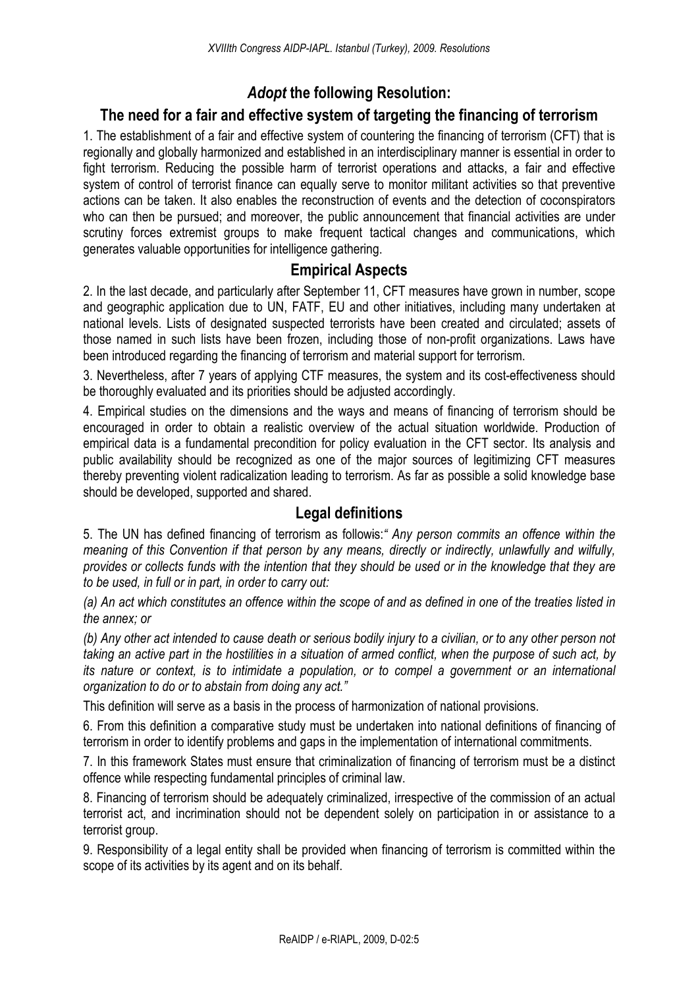# *Adopt* **the following Resolution:**

# **The need for a fair and effective system of targeting the financing of terrorism**

1. The establishment of a fair and effective system of countering the financing of terrorism (CFT) that is regionally and globally harmonized and established in an interdisciplinary manner is essential in order to fight terrorism. Reducing the possible harm of terrorist operations and attacks, a fair and effective system of control of terrorist finance can equally serve to monitor militant activities so that preventive actions can be taken. It also enables the reconstruction of events and the detection of coconspirators who can then be pursued; and moreover, the public announcement that financial activities are under scrutiny forces extremist groups to make frequent tactical changes and communications, which generates valuable opportunities for intelligence gathering.

### **Empirical Aspects**

2. In the last decade, and particularly after September 11, CFT measures have grown in number, scope and geographic application due to UN, FATF, EU and other initiatives, including many undertaken at national levels. Lists of designated suspected terrorists have been created and circulated; assets of those named in such lists have been frozen, including those of non-profit organizations. Laws have been introduced regarding the financing of terrorism and material support for terrorism.

3. Nevertheless, after 7 years of applying CTF measures, the system and its cost-effectiveness should be thoroughly evaluated and its priorities should be adjusted accordingly.

4. Empirical studies on the dimensions and the ways and means of financing of terrorism should be encouraged in order to obtain a realistic overview of the actual situation worldwide. Production of empirical data is a fundamental precondition for policy evaluation in the CFT sector. Its analysis and public availability should be recognized as one of the major sources of legitimizing CFT measures thereby preventing violent radicalization leading to terrorism. As far as possible a solid knowledge base should be developed, supported and shared.

#### **Legal definitions**

5. The UN has defined financing of terrorism as followis:*" Any person commits an offence within the meaning of this Convention if that person by any means, directly or indirectly, unlawfully and wilfully, provides or collects funds with the intention that they should be used or in the knowledge that they are to be used, in full or in part, in order to carry out:*

*(a) An act which constitutes an offence within the scope of and as defined in one of the treaties listed in the annex; or* 

*(b) Any other act intended to cause death or serious bodily injury to a civilian, or to any other person not taking an active part in the hostilities in a situation of armed conflict, when the purpose of such act, by its nature or context, is to intimidate a population, or to compel a government or an international organization to do or to abstain from doing any act."*

This definition will serve as a basis in the process of harmonization of national provisions.

6. From this definition a comparative study must be undertaken into national definitions of financing of terrorism in order to identify problems and gaps in the implementation of international commitments.

7. In this framework States must ensure that criminalization of financing of terrorism must be a distinct offence while respecting fundamental principles of criminal law.

8. Financing of terrorism should be adequately criminalized, irrespective of the commission of an actual terrorist act, and incrimination should not be dependent solely on participation in or assistance to a terrorist group.

9. Responsibility of a legal entity shall be provided when financing of terrorism is committed within the scope of its activities by its agent and on its behalf.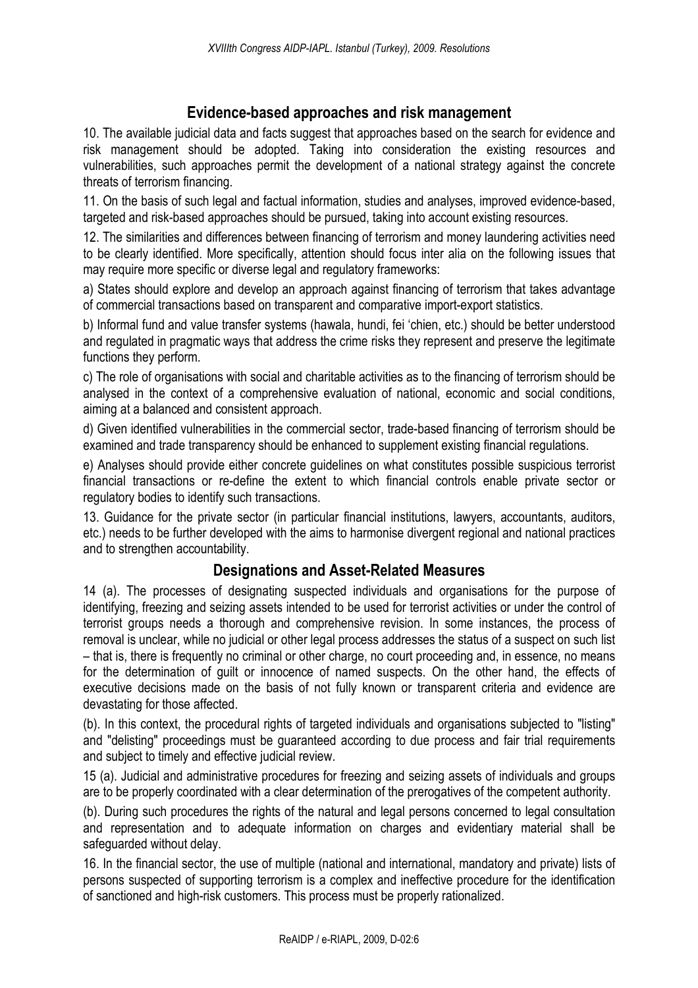# **Evidence-based approaches and risk management**

10. The available judicial data and facts suggest that approaches based on the search for evidence and risk management should be adopted. Taking into consideration the existing resources and vulnerabilities, such approaches permit the development of a national strategy against the concrete threats of terrorism financing.

11. On the basis of such legal and factual information, studies and analyses, improved evidence-based, targeted and risk-based approaches should be pursued, taking into account existing resources.

12. The similarities and differences between financing of terrorism and money laundering activities need to be clearly identified. More specifically, attention should focus inter alia on the following issues that may require more specific or diverse legal and regulatory frameworks:

a) States should explore and develop an approach against financing of terrorism that takes advantage of commercial transactions based on transparent and comparative import-export statistics.

b) Informal fund and value transfer systems (hawala, hundi, fei 'chien, etc.) should be better understood and regulated in pragmatic ways that address the crime risks they represent and preserve the legitimate functions they perform.

c) The role of organisations with social and charitable activities as to the financing of terrorism should be analysed in the context of a comprehensive evaluation of national, economic and social conditions, aiming at a balanced and consistent approach.

d) Given identified vulnerabilities in the commercial sector, trade-based financing of terrorism should be examined and trade transparency should be enhanced to supplement existing financial regulations.

e) Analyses should provide either concrete guidelines on what constitutes possible suspicious terrorist financial transactions or re-define the extent to which financial controls enable private sector or regulatory bodies to identify such transactions.

13. Guidance for the private sector (in particular financial institutions, lawyers, accountants, auditors, etc.) needs to be further developed with the aims to harmonise divergent regional and national practices and to strengthen accountability.

# **Designations and Asset-Related Measures**

14 (a). The processes of designating suspected individuals and organisations for the purpose of identifying, freezing and seizing assets intended to be used for terrorist activities or under the control of terrorist groups needs a thorough and comprehensive revision. In some instances, the process of removal is unclear, while no judicial or other legal process addresses the status of a suspect on such list – that is, there is frequently no criminal or other charge, no court proceeding and, in essence, no means for the determination of guilt or innocence of named suspects. On the other hand, the effects of executive decisions made on the basis of not fully known or transparent criteria and evidence are devastating for those affected.

(b). In this context, the procedural rights of targeted individuals and organisations subjected to "listing" and "delisting" proceedings must be guaranteed according to due process and fair trial requirements and subject to timely and effective judicial review.

15 (a). Judicial and administrative procedures for freezing and seizing assets of individuals and groups are to be properly coordinated with a clear determination of the prerogatives of the competent authority.

(b). During such procedures the rights of the natural and legal persons concerned to legal consultation and representation and to adequate information on charges and evidentiary material shall be safeguarded without delay.

16. In the financial sector, the use of multiple (national and international, mandatory and private) lists of persons suspected of supporting terrorism is a complex and ineffective procedure for the identification of sanctioned and high-risk customers. This process must be properly rationalized.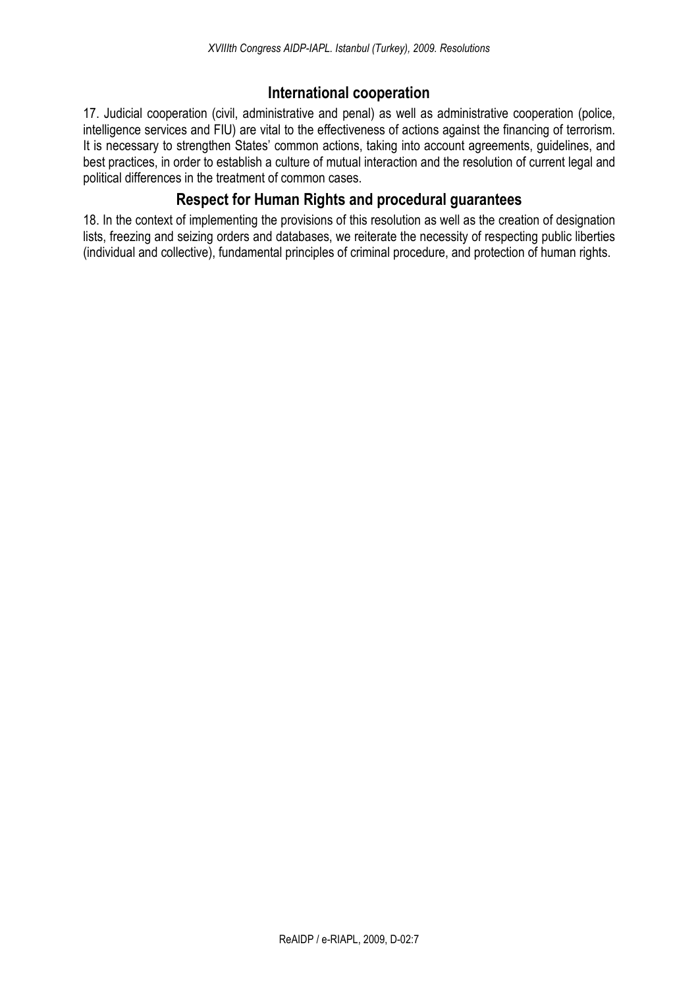## **International cooperation**

17. Judicial cooperation (civil, administrative and penal) as well as administrative cooperation (police, intelligence services and FIU) are vital to the effectiveness of actions against the financing of terrorism. It is necessary to strengthen States' common actions, taking into account agreements, guidelines, and best practices, in order to establish a culture of mutual interaction and the resolution of current legal and political differences in the treatment of common cases.

## **Respect for Human Rights and procedural guarantees**

18. In the context of implementing the provisions of this resolution as well as the creation of designation lists, freezing and seizing orders and databases, we reiterate the necessity of respecting public liberties (individual and collective), fundamental principles of criminal procedure, and protection of human rights.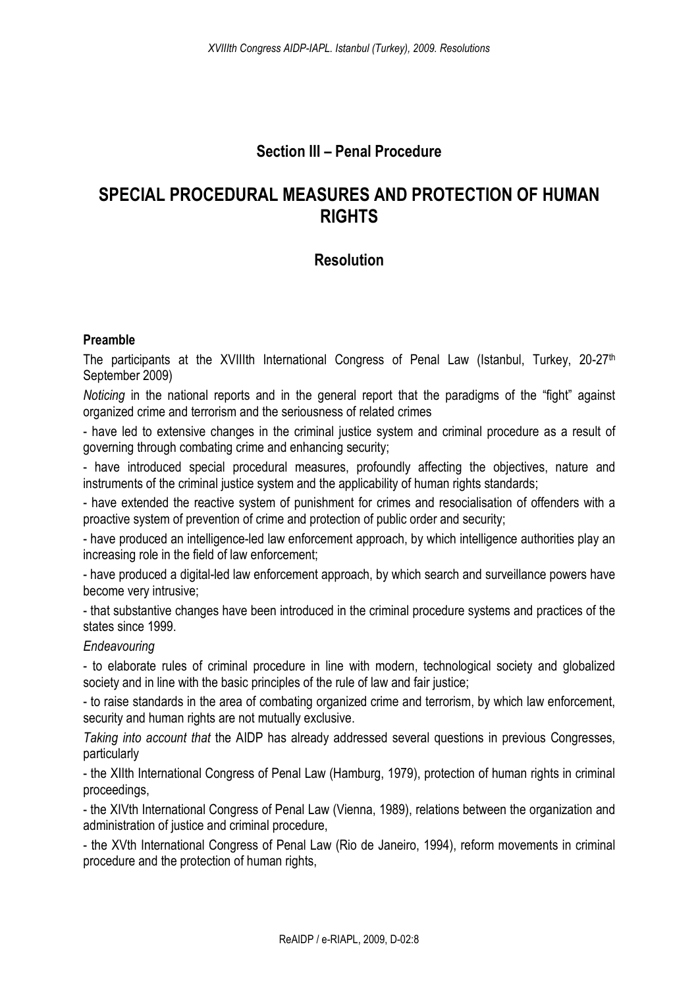### **Section III – Penal Procedure**

# **SPECIAL PROCEDURAL MEASURES AND PROTECTION OF HUMAN RIGHTS**

### **Resolution**

#### **Preamble**

The participants at the XVIIIth International Congress of Penal Law (Istanbul, Turkey, 20-27<sup>th</sup> September 2009)

*Noticing* in the national reports and in the general report that the paradigms of the "fight" against organized crime and terrorism and the seriousness of related crimes

- have led to extensive changes in the criminal justice system and criminal procedure as a result of governing through combating crime and enhancing security;

- have introduced special procedural measures, profoundly affecting the objectives, nature and instruments of the criminal justice system and the applicability of human rights standards;

- have extended the reactive system of punishment for crimes and resocialisation of offenders with a proactive system of prevention of crime and protection of public order and security;

- have produced an intelligence-led law enforcement approach, by which intelligence authorities play an increasing role in the field of law enforcement;

- have produced a digital-led law enforcement approach, by which search and surveillance powers have become very intrusive;

- that substantive changes have been introduced in the criminal procedure systems and practices of the states since 1999.

#### *Endeavouring*

- to elaborate rules of criminal procedure in line with modern, technological society and globalized society and in line with the basic principles of the rule of law and fair justice;

- to raise standards in the area of combating organized crime and terrorism, by which law enforcement, security and human rights are not mutually exclusive.

*Taking into account that* the AIDP has already addressed several questions in previous Congresses, particularly

- the XIIth International Congress of Penal Law (Hamburg, 1979), protection of human rights in criminal proceedings,

- the XIVth International Congress of Penal Law (Vienna, 1989), relations between the organization and administration of justice and criminal procedure,

- the XVth International Congress of Penal Law (Rio de Janeiro, 1994), reform movements in criminal procedure and the protection of human rights,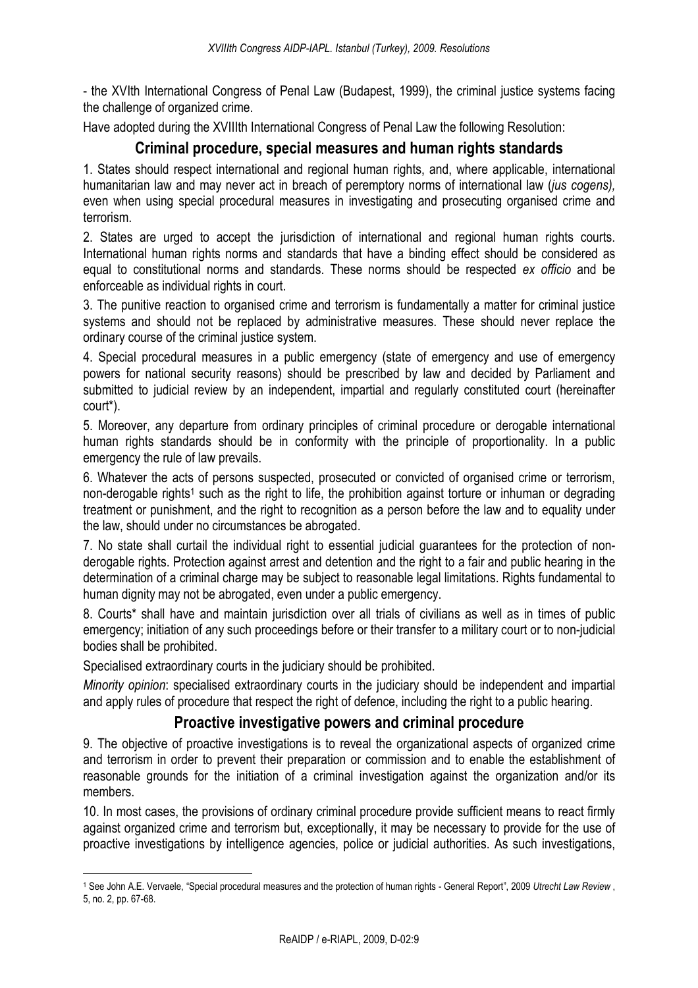- the XVIth International Congress of Penal Law (Budapest, 1999), the criminal justice systems facing the challenge of organized crime.

Have adopted during the XVIIIth International Congress of Penal Law the following Resolution:

#### **Criminal procedure, special measures and human rights standards**

1. States should respect international and regional human rights, and, where applicable, international humanitarian law and may never act in breach of peremptory norms of international law (*jus cogens),*  even when using special procedural measures in investigating and prosecuting organised crime and terrorism.

2. States are urged to accept the jurisdiction of international and regional human rights courts. International human rights norms and standards that have a binding effect should be considered as equal to constitutional norms and standards. These norms should be respected *ex officio* and be enforceable as individual rights in court.

3. The punitive reaction to organised crime and terrorism is fundamentally a matter for criminal justice systems and should not be replaced by administrative measures. These should never replace the ordinary course of the criminal justice system.

4. Special procedural measures in a public emergency (state of emergency and use of emergency powers for national security reasons) should be prescribed by law and decided by Parliament and submitted to judicial review by an independent, impartial and regularly constituted court (hereinafter court\*).

5. Moreover, any departure from ordinary principles of criminal procedure or derogable international human rights standards should be in conformity with the principle of proportionality. In a public emergency the rule of law prevails.

6. Whatever the acts of persons suspected, prosecuted or convicted of organised crime or terrorism, non-derogable rights<sup>1</sup> such as the right to life, the prohibition against torture or inhuman or degrading treatment or punishment, and the right to recognition as a person before the law and to equality under the law, should under no circumstances be abrogated.

7. No state shall curtail the individual right to essential judicial guarantees for the protection of nonderogable rights. Protection against arrest and detention and the right to a fair and public hearing in the determination of a criminal charge may be subject to reasonable legal limitations. Rights fundamental to human dignity may not be abrogated, even under a public emergency.

8. Courts\* shall have and maintain jurisdiction over all trials of civilians as well as in times of public emergency; initiation of any such proceedings before or their transfer to a military court or to non-judicial bodies shall be prohibited.

Specialised extraordinary courts in the judiciary should be prohibited.

 $\overline{a}$ 

*Minority opinion*: specialised extraordinary courts in the judiciary should be independent and impartial and apply rules of procedure that respect the right of defence, including the right to a public hearing.

#### **Proactive investigative powers and criminal procedure**

9. The objective of proactive investigations is to reveal the organizational aspects of organized crime and terrorism in order to prevent their preparation or commission and to enable the establishment of reasonable grounds for the initiation of a criminal investigation against the organization and/or its members.

10. In most cases, the provisions of ordinary criminal procedure provide sufficient means to react firmly against organized crime and terrorism but, exceptionally, it may be necessary to provide for the use of proactive investigations by intelligence agencies, police or judicial authorities. As such investigations,

<sup>1</sup> See John A.E. Vervaele, "Special procedural measures and the protection of human rights - General Report", 2009 *Utrecht Law Review* , 5, no. 2, pp. 67-68.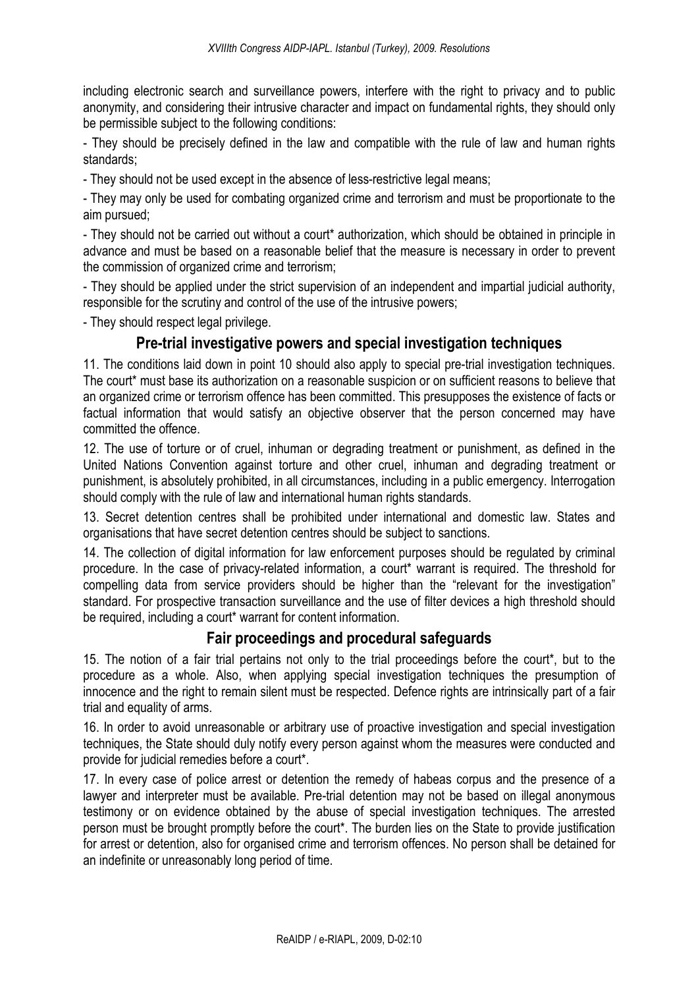including electronic search and surveillance powers, interfere with the right to privacy and to public anonymity, and considering their intrusive character and impact on fundamental rights, they should only be permissible subject to the following conditions:

- They should be precisely defined in the law and compatible with the rule of law and human rights standards;

- They should not be used except in the absence of less-restrictive legal means;

- They may only be used for combating organized crime and terrorism and must be proportionate to the aim pursued;

- They should not be carried out without a court\* authorization, which should be obtained in principle in advance and must be based on a reasonable belief that the measure is necessary in order to prevent the commission of organized crime and terrorism;

- They should be applied under the strict supervision of an independent and impartial judicial authority, responsible for the scrutiny and control of the use of the intrusive powers;

- They should respect legal privilege.

#### **Pre-trial investigative powers and special investigation techniques**

11. The conditions laid down in point 10 should also apply to special pre-trial investigation techniques. The court<sup>\*</sup> must base its authorization on a reasonable suspicion or on sufficient reasons to believe that an organized crime or terrorism offence has been committed. This presupposes the existence of facts or factual information that would satisfy an objective observer that the person concerned may have committed the offence.

12. The use of torture or of cruel, inhuman or degrading treatment or punishment, as defined in the United Nations Convention against torture and other cruel, inhuman and degrading treatment or punishment, is absolutely prohibited, in all circumstances, including in a public emergency. Interrogation should comply with the rule of law and international human rights standards.

13. Secret detention centres shall be prohibited under international and domestic law. States and organisations that have secret detention centres should be subject to sanctions.

14. The collection of digital information for law enforcement purposes should be regulated by criminal procedure. In the case of privacy-related information, a court<sup>\*</sup> warrant is required. The threshold for compelling data from service providers should be higher than the "relevant for the investigation" standard. For prospective transaction surveillance and the use of filter devices a high threshold should be required, including a court<sup>\*</sup> warrant for content information.

#### **Fair proceedings and procedural safeguards**

15. The notion of a fair trial pertains not only to the trial proceedings before the court\*, but to the procedure as a whole. Also, when applying special investigation techniques the presumption of innocence and the right to remain silent must be respected. Defence rights are intrinsically part of a fair trial and equality of arms.

16. In order to avoid unreasonable or arbitrary use of proactive investigation and special investigation techniques, the State should duly notify every person against whom the measures were conducted and provide for judicial remedies before a court\*.

17. In every case of police arrest or detention the remedy of habeas corpus and the presence of a lawyer and interpreter must be available. Pre-trial detention may not be based on illegal anonymous testimony or on evidence obtained by the abuse of special investigation techniques. The arrested person must be brought promptly before the court\*. The burden lies on the State to provide justification for arrest or detention, also for organised crime and terrorism offences. No person shall be detained for an indefinite or unreasonably long period of time.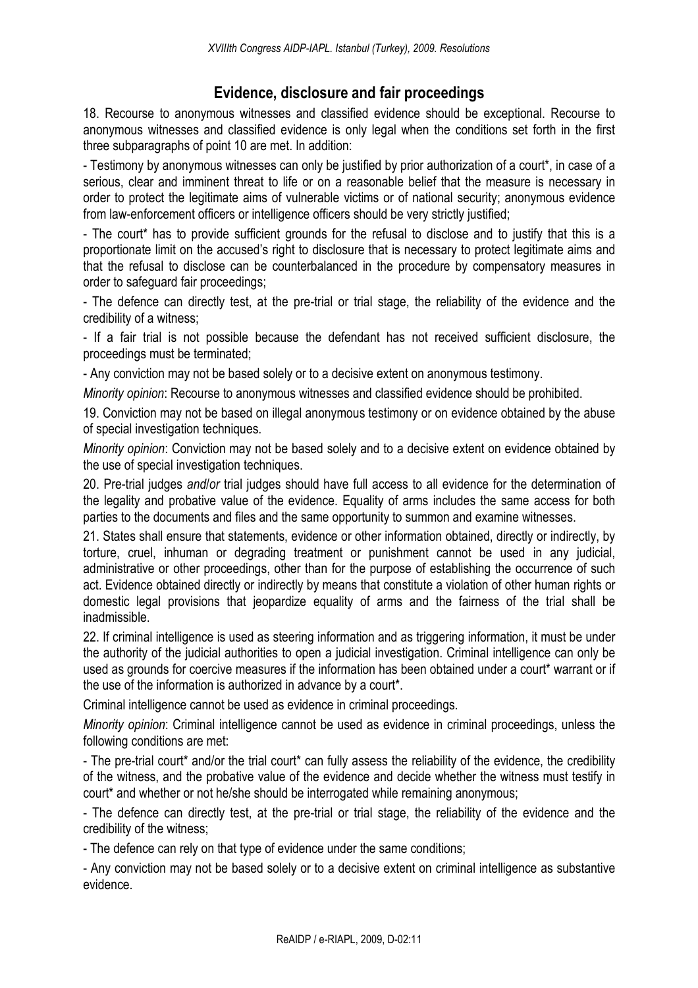## **Evidence, disclosure and fair proceedings**

18. Recourse to anonymous witnesses and classified evidence should be exceptional. Recourse to anonymous witnesses and classified evidence is only legal when the conditions set forth in the first three subparagraphs of point 10 are met. In addition:

- Testimony by anonymous witnesses can only be justified by prior authorization of a court\*, in case of a serious, clear and imminent threat to life or on a reasonable belief that the measure is necessary in order to protect the legitimate aims of vulnerable victims or of national security; anonymous evidence from law-enforcement officers or intelligence officers should be very strictly justified;

- The court\* has to provide sufficient grounds for the refusal to disclose and to justify that this is a proportionate limit on the accused's right to disclosure that is necessary to protect legitimate aims and that the refusal to disclose can be counterbalanced in the procedure by compensatory measures in order to safeguard fair proceedings;

- The defence can directly test, at the pre-trial or trial stage, the reliability of the evidence and the credibility of a witness;

- If a fair trial is not possible because the defendant has not received sufficient disclosure, the proceedings must be terminated;

- Any conviction may not be based solely or to a decisive extent on anonymous testimony.

*Minority opinion*: Recourse to anonymous witnesses and classified evidence should be prohibited.

19. Conviction may not be based on illegal anonymous testimony or on evidence obtained by the abuse of special investigation techniques.

*Minority opinion*: Conviction may not be based solely and to a decisive extent on evidence obtained by the use of special investigation techniques.

20. Pre-trial judges *and*/*or* trial judges should have full access to all evidence for the determination of the legality and probative value of the evidence. Equality of arms includes the same access for both parties to the documents and files and the same opportunity to summon and examine witnesses.

21. States shall ensure that statements, evidence or other information obtained, directly or indirectly, by torture, cruel, inhuman or degrading treatment or punishment cannot be used in any judicial, administrative or other proceedings, other than for the purpose of establishing the occurrence of such act. Evidence obtained directly or indirectly by means that constitute a violation of other human rights or domestic legal provisions that jeopardize equality of arms and the fairness of the trial shall be inadmissible.

22. If criminal intelligence is used as steering information and as triggering information, it must be under the authority of the judicial authorities to open a judicial investigation. Criminal intelligence can only be used as grounds for coercive measures if the information has been obtained under a court\* warrant or if the use of the information is authorized in advance by a court\*.

Criminal intelligence cannot be used as evidence in criminal proceedings.

*Minority opinion*: Criminal intelligence cannot be used as evidence in criminal proceedings, unless the following conditions are met:

- The pre-trial court\* and/or the trial court\* can fully assess the reliability of the evidence, the credibility of the witness, and the probative value of the evidence and decide whether the witness must testify in court\* and whether or not he/she should be interrogated while remaining anonymous;

- The defence can directly test, at the pre-trial or trial stage, the reliability of the evidence and the credibility of the witness;

- The defence can rely on that type of evidence under the same conditions;

- Any conviction may not be based solely or to a decisive extent on criminal intelligence as substantive evidence.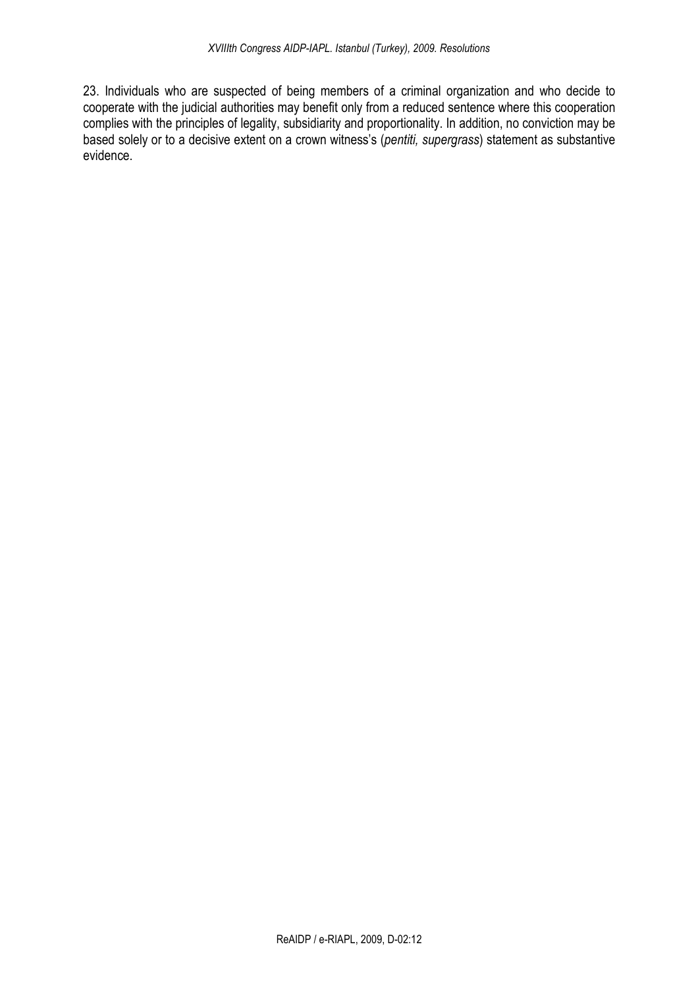23. Individuals who are suspected of being members of a criminal organization and who decide to cooperate with the judicial authorities may benefit only from a reduced sentence where this cooperation complies with the principles of legality, subsidiarity and proportionality. In addition, no conviction may be based solely or to a decisive extent on a crown witness's (*pentiti, supergrass*) statement as substantive evidence.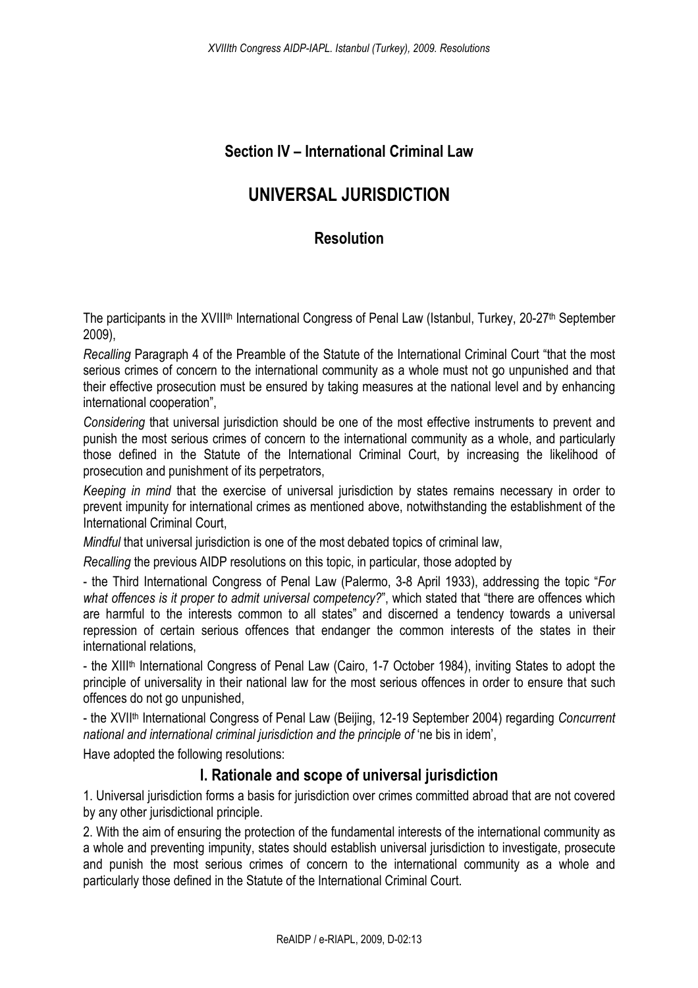# **Section IV – International Criminal Law**

# **UNIVERSAL JURISDICTION**

# **Resolution**

The participants in the XVIII<sup>th</sup> International Congress of Penal Law (Istanbul, Turkey, 20-27<sup>th</sup> September 2009),

*Recalling* Paragraph 4 of the Preamble of the Statute of the International Criminal Court "that the most serious crimes of concern to the international community as a whole must not go unpunished and that their effective prosecution must be ensured by taking measures at the national level and by enhancing international cooperation",

*Considering* that universal jurisdiction should be one of the most effective instruments to prevent and punish the most serious crimes of concern to the international community as a whole, and particularly those defined in the Statute of the International Criminal Court, by increasing the likelihood of prosecution and punishment of its perpetrators,

*Keeping in mind* that the exercise of universal jurisdiction by states remains necessary in order to prevent impunity for international crimes as mentioned above, notwithstanding the establishment of the International Criminal Court,

*Mindful* that universal jurisdiction is one of the most debated topics of criminal law,

*Recalling* the previous AIDP resolutions on this topic, in particular, those adopted by

- the Third International Congress of Penal Law (Palermo, 3-8 April 1933), addressing the topic "*For what offences is it proper to admit universal competency?*", which stated that "there are offences which are harmful to the interests common to all states" and discerned a tendency towards a universal repression of certain serious offences that endanger the common interests of the states in their international relations,

- the XIII<sup>th</sup> International Congress of Penal Law (Cairo, 1-7 October 1984), inviting States to adopt the principle of universality in their national law for the most serious offences in order to ensure that such offences do not go unpunished,

- the XVIIth International Congress of Penal Law (Beijing, 12-19 September 2004) regarding *Concurrent national and international criminal jurisdiction and the principle of* 'ne bis in idem',

Have adopted the following resolutions:

# **I. Rationale and scope of universal jurisdiction**

1. Universal jurisdiction forms a basis for jurisdiction over crimes committed abroad that are not covered by any other jurisdictional principle.

2. With the aim of ensuring the protection of the fundamental interests of the international community as a whole and preventing impunity, states should establish universal jurisdiction to investigate, prosecute and punish the most serious crimes of concern to the international community as a whole and particularly those defined in the Statute of the International Criminal Court.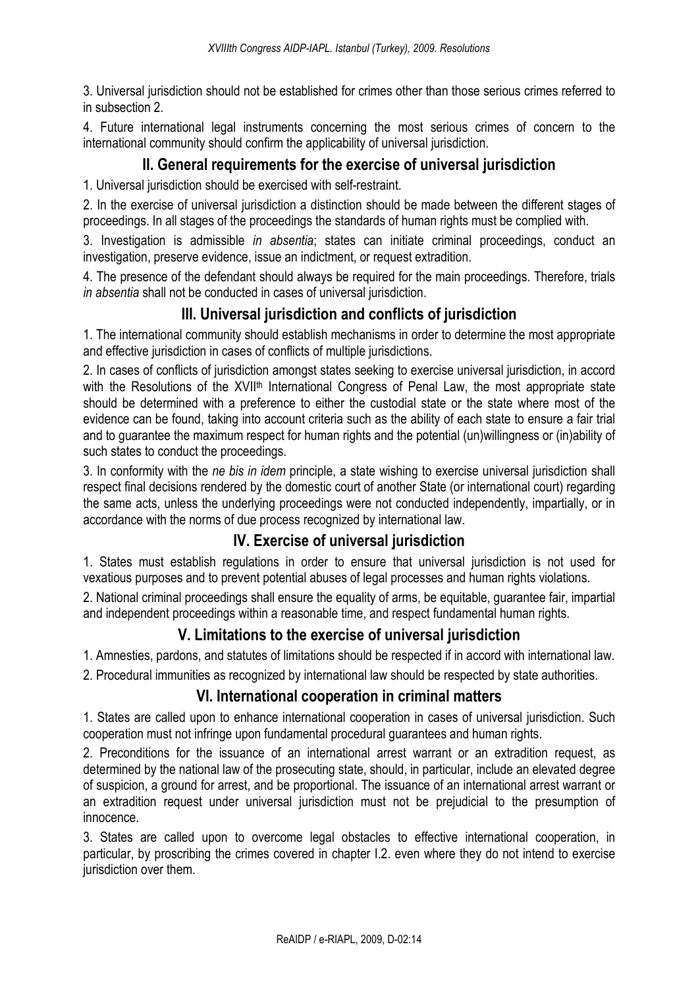3. Universal jurisdiction should not be established for crimes other than those serious crimes referred to in subsection 2.

4. Future international legal instruments concerning the most serious crimes of concern to the international community should confirm the applicability of universal jurisdiction.

# **II. General requirements for the exercise of universal jurisdiction**

1. Universal jurisdiction should be exercised with self-restraint.

2. In the exercise of universal jurisdiction a distinction should be made between the different stages of proceedings. In all stages of the proceedings the standards of human rights must be complied with.

3. Investigation is admissible *in absentia*; states can initiate criminal proceedings, conduct an investigation, preserve evidence, issue an indictment, or request extradition.

4. The presence of the defendant should always be required for the main proceedings. Therefore, trials *in absentia* shall not be conducted in cases of universal jurisdiction.

# **III. Universal jurisdiction and conflicts of jurisdiction**

1. The international community should establish mechanisms in order to determine the most appropriate and effective jurisdiction in cases of conflicts of multiple jurisdictions.

2. In cases of conflicts of jurisdiction amongst states seeking to exercise universal jurisdiction, in accord with the Resolutions of the XVII<sup>th</sup> International Congress of Penal Law, the most appropriate state should be determined with a preference to either the custodial state or the state where most of the evidence can be found, taking into account criteria such as the ability of each state to ensure a fair trial and to guarantee the maximum respect for human rights and the potential (un)willingness or (in)ability of such states to conduct the proceedings.

3. In conformity with the *ne bis in idem* principle, a state wishing to exercise universal jurisdiction shall respect final decisions rendered by the domestic court of another State (or international court) regarding the same acts, unless the underlying proceedings were not conducted independently, impartially, or in accordance with the norms of due process recognized by international law.

# **IV. Exercise of universal jurisdiction**

1. States must establish regulations in order to ensure that universal jurisdiction is not used for vexatious purposes and to prevent potential abuses of legal processes and human rights violations.

2. National criminal proceedings shall ensure the equality of arms, be equitable, guarantee fair, impartial and independent proceedings within a reasonable time, and respect fundamental human rights.

# **V. Limitations to the exercise of universal jurisdiction**

1. Amnesties, pardons, and statutes of limitations should be respected if in accord with international law.

2. Procedural immunities as recognized by international law should be respected by state authorities.

# **VI. International cooperation in criminal matters**

1. States are called upon to enhance international cooperation in cases of universal jurisdiction. Such cooperation must not infringe upon fundamental procedural guarantees and human rights.

2. Preconditions for the issuance of an international arrest warrant or an extradition request, as determined by the national law of the prosecuting state, should, in particular, include an elevated degree of suspicion, a ground for arrest, and be proportional. The issuance of an international arrest warrant or an extradition request under universal jurisdiction must not be prejudicial to the presumption of innocence.

3. States are called upon to overcome legal obstacles to effective international cooperation, in particular, by proscribing the crimes covered in chapter I.2. even where they do not intend to exercise jurisdiction over them.